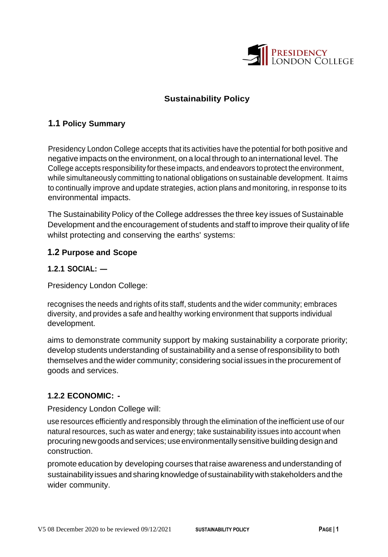

# **Sustainability Policy**

## **1.1 Policy Summary**

Presidency London College accepts that its activities have the potential for both positive and negative impacts on the environment, on a local through to an international level. The College accepts responsibility for these impacts, and endeavors to protect the environment, while simultaneously committing to national obligations on sustainable development. It aims to continually improve and update strategies, action plans and monitoring, in response to its environmental impacts.

The Sustainability Policy of the College addresses the three key issues of Sustainable Development and the encouragement of students and staff to improve their quality of life whilst protecting and conserving the earths' systems:

### **1.2 Purpose and Scope**

### **1.2.1 SOCIAL: —**

Presidency London College:

recognises the needs and rights of its staff, students and the wider community; embraces diversity, and provides a safe and healthy working environment that supports individual development.

aims to demonstrate community support by making sustainability a corporate priority; develop students understanding of sustainability and a sense ofresponsibility to both themselves and the wider community; considering social issues in the procurement of goods and services.

### **1.2.2 ECONOMIC: -**

Presidency London College will:

use resources efficiently and responsibly through the elimination of the inefficient use of our natural resources, such as water and energy; take sustainability issues into account when procuring newgoods andservices; useenvironmentally sensitive building design and construction.

promote education by developing courses thatraise awareness and understanding of sustainability issues and sharing knowledge of sustainabilitywith stakeholders and the wider community.